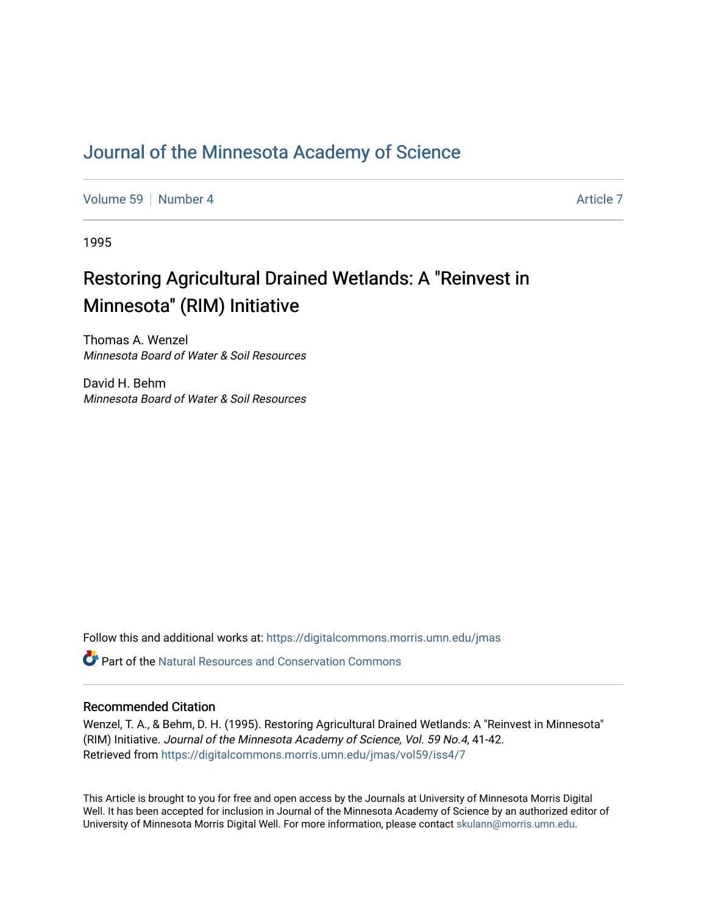### [Journal of the Minnesota Academy of Science](https://digitalcommons.morris.umn.edu/jmas)

[Volume 59](https://digitalcommons.morris.umn.edu/jmas/vol59) [Number 4](https://digitalcommons.morris.umn.edu/jmas/vol59/iss4) [Article 7](https://digitalcommons.morris.umn.edu/jmas/vol59/iss4/7) Article 7 Article 7 Article 7 Article 7 Article 7 Article 7

1995

## Restoring Agricultural Drained Wetlands: A "Reinvest in Minnesota" (RIM) Initiative

Thomas A. Wenzel Minnesota Board of Water & Soil Resources

David H. Behm Minnesota Board of Water & Soil Resources

Follow this and additional works at: [https://digitalcommons.morris.umn.edu/jmas](https://digitalcommons.morris.umn.edu/jmas?utm_source=digitalcommons.morris.umn.edu%2Fjmas%2Fvol59%2Fiss4%2F7&utm_medium=PDF&utm_campaign=PDFCoverPages) 

 $\bullet$  Part of the Natural Resources and Conservation Commons

### Recommended Citation

Wenzel, T. A., & Behm, D. H. (1995). Restoring Agricultural Drained Wetlands: A "Reinvest in Minnesota" (RIM) Initiative. Journal of the Minnesota Academy of Science, Vol. 59 No.4, 41-42. Retrieved from [https://digitalcommons.morris.umn.edu/jmas/vol59/iss4/7](https://digitalcommons.morris.umn.edu/jmas/vol59/iss4/7?utm_source=digitalcommons.morris.umn.edu%2Fjmas%2Fvol59%2Fiss4%2F7&utm_medium=PDF&utm_campaign=PDFCoverPages)

This Article is brought to you for free and open access by the Journals at University of Minnesota Morris Digital Well. It has been accepted for inclusion in Journal of the Minnesota Academy of Science by an authorized editor of University of Minnesota Morris Digital Well. For more information, please contact [skulann@morris.umn.edu](mailto:skulann@morris.umn.edu).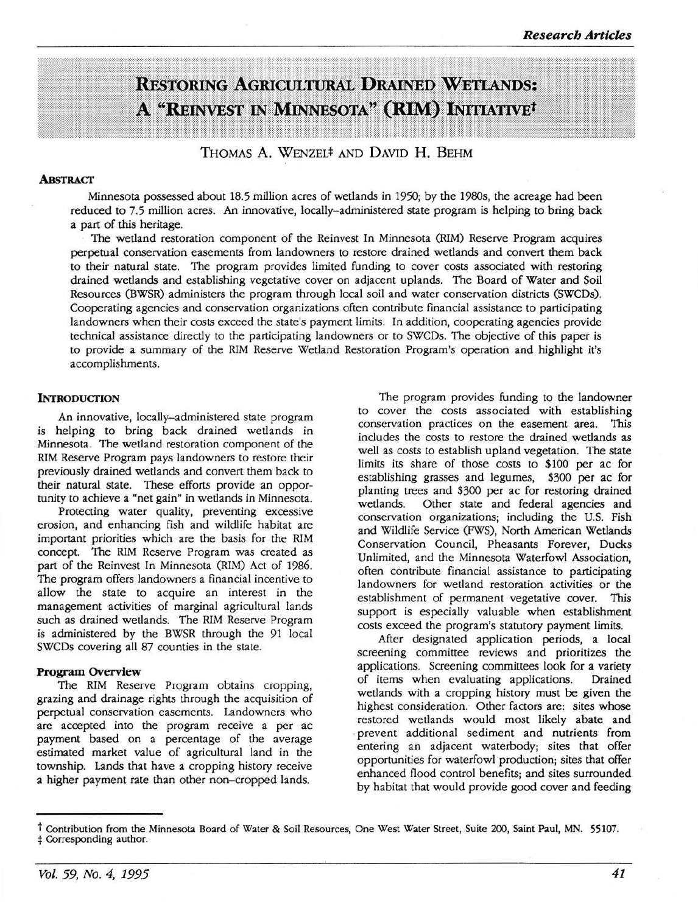# **RESTORING AGRICULTURAL DRAINED WETLANDS:** A "REINVEST IN MINNESOTA" (RIM) INITIATIVE<sup>t</sup>

THOMAS A. WENZEL\* AND DAVID **H.** BEHM

#### **ABsTRACT**

Minnesota possessed about 18.5 million acres of wetlands in 1950; by the 1980s, the acreage had been reduced to 7.5 million acres. An innovative, locally-administered state program is helping to bring back a part of this heritage.

The wetland restoration component of the Reinvest In Minnesota (RIM) Reserve Program acquires perpetual conservation easements from landowners to restore drained wetlands and convert them back to their natural state. The program provides limited funding to cover costs associated with restoring drained wetlands and establishing vegetative cover on adjacent uplands. The Board of Water and Soil Resources (BWSR) administers the program through local soil and water conservation districts (SWCDs). Cooperating agencies and conservation organizations often contribute financial assistance to participating landowners when their costs exceed the state's payment limits. In addition, cooperating agencies provide technical assistance directly to the participating landowners or to SWCDs. The objective of this paper is to provide a summary of the RIM Reserve Wetland Restoration Program's operation and highlight it's accomplishments.

#### **INTRODUCTION**

An innovative, locally-administered state program is helping to bring back drained wetlands in Minnesota. The wetland restoration component of the RIM Reserve Program pays landowners to restore their previously drained wetlands and convert them back to their natural state. These efforts provide an opportunity to achieve a "net gain" in wetlands in Minnesota.

Protecting water quality, preventing excessive erosion, and enhancing fish and wildlife habitat are important priorities which are the basis for the RIM concept. The RIM Reserve Program was created as part of the Reinvest In Minnesota (RIM) Act of 1986. The program offers landowners a financial incentive to allow the state to acquire an interest in the management activities of marginal agricultural lands such as drained wetlands. The RIM Reserve Program is administered by the BWSR through the 91 local SWCDs covering all 87 counties in the state.

#### **Program Overview**

The RIM Reserve Program obtains cropping, grazing and drainage rights through the acquisition of perpetual conservation easements. Landowners who are accepted into the program receive a per ac payment based on a percentage of the average estimated market value of agricultural land in the township. Lands that have a cropping history receive a higher payment rate than other non-cropped lands.

The program provides funding to the landowner to cover the costs associated with establishing conservation practices on the easement area. This includes the costs to restore the drained wetlands as well as costs to establish upland vegetation. The state limits its share of those costs to \$100 per ac for establishing grasses and legumes, \$300 per ac for planting trees and \$300 per ac for restoring drained Other state and federal agencies and conservation organizations; including the U.S. Fish and Wildlife Service (FWS), North American Wetlands Conservation Council, Pheasants Forever, Ducks Unlimited, and the Minnesota Waterfowl Association, often contribute financial assistance to participating landowners for wetland restoration activities or the establishment of permanent vegetative cover. This support is especially valuable when establishment costs exceed the program's statutory payment limits.

After designated application periods, a local screening committee reviews and prioritizes the applications. Screening committees look for a variety of items when evaluating applications. Drained wetlands with a cropping history must be given the highest consideration. Other factors are: sites whose restored wetlands would most likely abate and prevent additional sediment and nutrients from entering an adjacent waterbody; sites that offer opportunities for waterfowl production; sites that offer enhanced flood control benefits; and sites surrounded by habitat that would provide good cover and feeding

t Contribution from the Minnesota Board of Water & Soil Resources, One West Water Street, Suite 200, Saint Paul, MN. 55107.<br># Corresponding author.